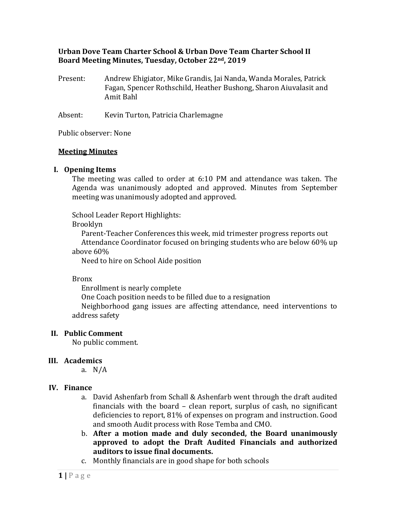## **Urban Dove Team Charter School & Urban Dove Team Charter School II Board Meeting Minutes, Tuesday, October 22nd, 2019**

Present: Andrew Ehigiator, Mike Grandis, Jai Nanda, Wanda Morales, Patrick Fagan, Spencer Rothschild, Heather Bushong, Sharon Aiuvalasit and Amit Bahl

Absent: Kevin Turton, Patricia Charlemagne

Public observer: None

### **Meeting Minutes**

## **I. Opening Items**

The meeting was called to order at 6:10 PM and attendance was taken. The Agenda was unanimously adopted and approved. Minutes from September meeting was unanimously adopted and approved.

School Leader Report Highlights:

Brooklyn

Parent-Teacher Conferences this week, mid trimester progress reports out Attendance Coordinator focused on bringing students who are below 60% up above 60%

Need to hire on School Aide position

Bronx

Enrollment is nearly complete

One Coach position needs to be filled due to a resignation

Neighborhood gang issues are affecting attendance, need interventions to address safety

### **II. Public Comment**

No public comment.

# **III. Academics**

a. N/A

### **IV. Finance**

- a. David Ashenfarb from Schall & Ashenfarb went through the draft audited financials with the board – clean report, surplus of cash, no significant deficiencies to report, 81% of expenses on program and instruction. Good and smooth Audit process with Rose Temba and CMO.
- b. **After a motion made and duly seconded, the Board unanimously approved to adopt the Draft Audited Financials and authorized auditors to issue final documents.**
- c. Monthly financials are in good shape for both schools